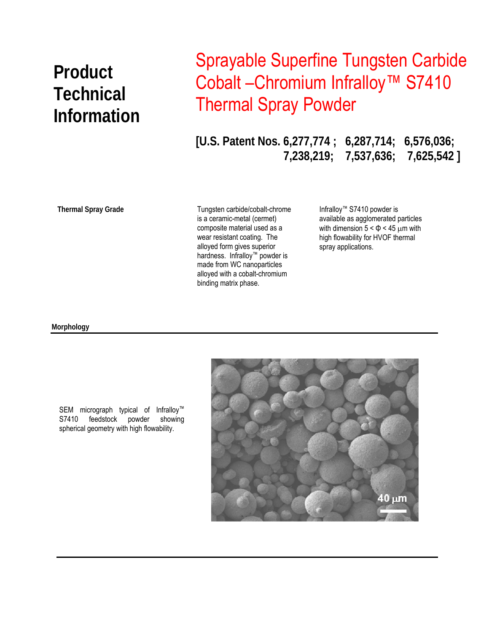# **Product Technical Information**

## Sprayable Superfine Tungsten Carbide Cobalt – Chromium Infralloy<sup>™</sup> S7410 Thermal Spray Powder

**[U.S. Patent Nos. 6,277,774 ; 6,287,714; 6,576,036; 7,238,219; 7,537,636; 7,625,542 ]** 

**Thermal Spray Grade** 

 binding matrix phase. Tungsten carbide/cobalt-chrome is a ceramic-metal (cermet) composite material used as a wear resistant coating. The alloyed form gives superior hardness. Infralloy™ powder is made from WC nanoparticles alloyed with a cobalt-chromium

Infralloy™ S7410 powder is available as agglomerated particles with dimension  $5 < \Phi < 45$  µm with high flowability for HVOF thermal spray applications.

#### **Morphology**



SEM micrograph typical of Infralloy™ S7410 feedstock powder showing spherical geometry with high flowability.